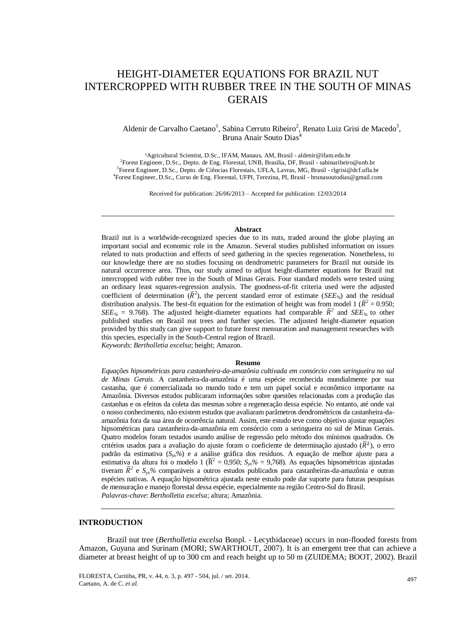# HEIGHT-DIAMETER EQUATIONS FOR BRAZIL NUT INTERCROPPED WITH RUBBER TREE IN THE SOUTH OF MINAS **GERAIS**

## Aldenir de Carvalho Caetano<sup>1</sup>, Sabina Cerruto Ribeiro<sup>2</sup>, Renato Luiz Grisi de Macedo<sup>3</sup>, Bruna Anair Souto Dias<sup>4</sup>

<sup>1</sup>Agricultural Scientist, D.Sc., IFAM, Manaus, AM, Brasil - aldenir@ifam.edu.br <sup>2</sup>Forest Engineer, D.Sc., Depto. de Eng. Florestal, UNB, Brasília, DF, Brasil - sabinaribeiro@unb.br 3 Forest Engineer, D.Sc., Depto. de Ciências Florestais, UFLA, Lavras, MG, Brasil - rlgrisi@dcf.ufla.br 4 Forest Engineer, D.Sc., Curso de Eng. Florestal, UFPI, Terezina, PI, Brasil - brunasoutodias@gmail.com

Received for publication: 26/06/2013 – Accepted for publication: 12/03/2014

#### **Abstract**

Brazil nut is a worldwide-recognized species due to its nuts, traded around the globe playing an important social and economic role in the Amazon. Several studies published information on issues related to nuts production and effects of seed gathering in the species regeneration. Nonetheless, to our knowledge there are no studies focusing on dendrometric parameters for Brazil nut outside its natural occurrence area. Thus, our study aimed to adjust height-diameter equations for Brazil nut intercropped with rubber tree in the South of Minas Gerais. Four standard models were tested using an ordinary least squares-regression analysis. The goodness-of-fit criteria used were the adjusted coefficient of determination  $(R^2)$ , the percent standard error of estimate (*SEE<sub><sup>2</sup>/*</sub>) and the residual distribution analysis. The best-fit equation for the estimation of height was from model 1 ( $\bar{R}^2 = 0.950$ ; *SEE*<sub>%</sub> = 9.768). The adjusted height-diameter equations had comparable  $\bar{R}^2$  and *SEE*<sub>%</sub> to other published studies on Brazil nut trees and further species. The adjusted height-diameter equation provided by this study can give support to future forest mensuration and management researches with this species, especially in the South-Central region of Brazil.

*Keywords*: *Bertholletia excelsa*; height; Amazon.

#### **Resumo**

*Equações hipsométricas para castanheira-da-amazônia cultivada em consórcio com seringueira no sul de Minas Gerais*. A castanheira-da-amazônia é uma espécie reconhecida mundialmente por sua castanha, que é comercializada no mundo todo e tem um papel social e econômico importante na Amazônia. Diversos estudos publicaram informações sobre questões relacionadas com a produção das castanhas e os efeitos da coleta das mesmas sobre a regeneração dessa espécie. No entanto, até onde vai o nosso conhecimento, não existem estudos que avaliaram parâmetros dendrométricos da castanheira-daamazônia fora da sua área de ocorrência natural. Assim, este estudo teve como objetivo ajustar equações hipsométricas para castanheira-da-amazônia em consórcio com a seringueira no sul de Minas Gerais. Quatro modelos foram testados usando análise de regressão pelo método dos mínimos quadrados. Os critérios usados para a avaliação do ajuste foram o coeficiente de determinação ajustado ( $\bar{R}^2$ ), o erro padrão da estimativa (*Syx%*) e a análise gráfica dos resíduos. A equação de melhor ajuste para a estimativa da altura foi o modelo 1 ( $\overline{R}^2 = 0.950$ ;  $S_{yx}\% = 9.768$ ). As equações hipsométricas ajustadas tiveram  $\bar{R}^2$  e  $S_{yx}\%$  comparáveis a outros estudos publicados para castanheiras-da-amazônia e outras espécies nativas. A equação hipsométrica ajustada neste estudo pode dar suporte para futuras pesquisas de mensuração e manejo florestal dessa espécie, especialmente na região Centro-Sul do Brasil. *Palavras-chave*: *Bertholletia excelsa*; altura; Amazônia.

## **INTRODUCTION**

Brazil nut tree (*Bertholletia excelsa* Bonpl. - Lecythidaceae) occurs in non-flooded forests from Amazon, Guyana and Surinam (MORI; SWARTHOUT, 2007). It is an emergent tree that can achieve a diameter at breast height of up to 300 cm and reach height up to 50 m (ZUIDEMA; BOOT, 2002). Brazil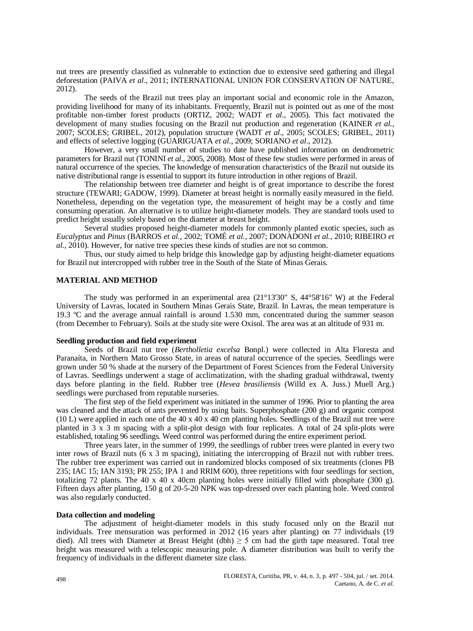nut trees are presently classified as vulnerable to extinction due to extensive seed gathering and illegal deforestation (PAIVA *et al*., 2011; INTERNATIONAL UNION FOR CONSERVATION OF NATURE, 2012).

The seeds of the Brazil nut trees play an important social and economic role in the Amazon, providing livelihood for many of its inhabitants. Frequently, Brazil nut is pointed out as one of the most profitable non-timber forest products (ORTIZ, 2002; WADT *et al.,* 2005). This fact motivated the development of many studies focusing on the Brazil nut production and regeneration (KAINER *et al.,* 2007; SCOLES; GRIBEL, 2012), population structure (WADT *et al*., 2005; SCOLES; GRIBEL, 2011) and effects of selective logging (GUARIGUATA *et al*., 2009; SORIANO *et al*., 2012).

However, a very small number of studies to date have published information on dendrometric parameters for Brazil nut (TONINI *et al*., 2005, 2008). Most of these few studies were performed in areas of natural occurrence of the species. The knowledge of mensuration characteristics of the Brazil nut outside its native distributional range is essential to support its future introduction in other regions of Brazil.

The relationship between tree diameter and height is of great importance to describe the forest structure (TEWARI; GADOW, 1999). Diameter at breast height is normally easily measured in the field. Nonetheless, depending on the vegetation type, the measurement of height may be a costly and time consuming operation. An alternative is to utilize height-diameter models. They are standard tools used to predict height usually solely based on the diameter at breast height.

Several studies proposed height-diameter models for commonly planted exotic species, such as *Eucalyptus* and *Pinus* (BARROS *et al.,* 2002; TOMÉ *et al.,* 2007; DONADONI *et al.,* 2010; RIBEIRO *et al.,* 2010). However, for native tree species these kinds of studies are not so common.

Thus, our study aimed to help bridge this knowledge gap by adjusting height-diameter equations for Brazil nut intercropped with rubber tree in the South of the State of Minas Gerais.

#### **MATERIAL AND METHOD**

The study was performed in an experimental area (21°13'30" S, 44°58'16" W) at the Federal University of Lavras, located in Southern Minas Gerais State, Brazil. In Lavras, the mean temperature is 19.3 ºC and the average annual rainfall is around 1.530 mm, concentrated during the summer season (from December to February). Soils at the study site were Oxisol. The area was at an altitude of 931 m.

# **Seedling production and field experiment**

Seeds of Brazil nut tree (*Bertholletia excelsa* Bonpl.) were collected in Alta Floresta and Paranaíta, in Northern Mato Grosso State, in areas of natural occurrence of the species. Seedlings were grown under 50 % shade at the nursery of the Department of Forest Sciences from the Federal University of Lavras. Seedlings underwent a stage of acclimatization, with the shading gradual withdrawal, twenty days before planting in the field. Rubber tree (*Hevea brasiliensis* (Willd ex A. Juss.) Muell Arg.) seedlings were purchased from reputable nurseries.

The first step of the field experiment was initiated in the summer of 1996. Prior to planting the area was cleaned and the attack of ants prevented by using baits. Superphosphate (200 g) and organic compost (10 L) were applied in each one of the 40 x 40 x 40 cm planting holes. Seedlings of the Brazil nut tree were planted in 3 x 3 m spacing with a split-plot design with four replicates. A total of 24 split-plots were established, totaling 96 seedlings. Weed control was performed during the entire experiment period.

Three years later, in the summer of 1999, the seedlings of rubber trees were planted in every two inter rows of Brazil nuts (6 x 3 m spacing), initiating the intercropping of Brazil nut with rubber trees. The rubber tree experiment was carried out in randomized blocks composed of six treatments (clones PB 235; IAC 15; IAN 3193; PR 255; IPA 1 and RRIM 600), three repetitions with four seedlings for section, totalizing 72 plants. The 40 x 40 x 40cm planting holes were initially filled with phosphate (300 g). Fifteen days after planting, 150 g of 20-5-20 NPK was top-dressed over each planting hole. Weed control was also regularly conducted.

#### **Data collection and modeling**

The adjustment of height-diameter models in this study focused only on the Brazil nut individuals. Tree mensuration was performed in 2012 (16 years after planting) on 77 individuals (19 died). All trees with Diameter at Breast Height (dbh)  $\geq$  5 cm had the girth tape measured. Total tree height was measured with a telescopic measuring pole. A diameter distribution was built to verify the frequency of individuals in the different diameter size class.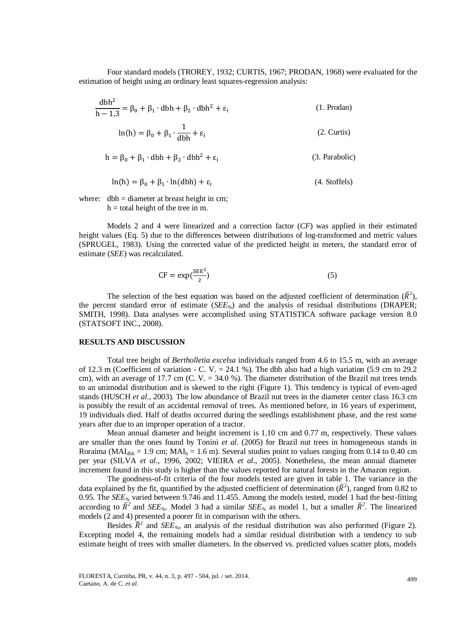Four standard models (TROREY, 1932; CURTIS, 1967; PRODAN, 1968) were evaluated for the estimation of height using an ordinary least squares-regression analysis:

$$
\frac{\text{dbh}^2}{\text{h} - 1,3} = \beta_0 + \beta_1 \cdot \text{dbh} + \beta_2 \cdot \text{dbh}^2 + \varepsilon_i \tag{1. Prodan}
$$

$$
\ln(h) = \beta_0 + \beta_1 \cdot \frac{1}{dbh} + \varepsilon_i \tag{2. Curtis}
$$

$$
h = \beta_0 + \beta_1 \cdot dbh + \beta_2 \cdot dbh^2 + \varepsilon_i \tag{3. Parabolic}
$$

$$
\ln(h) = \beta_0 + \beta_1 \cdot \ln(dbh) + \varepsilon_i \tag{4. Stoffels}
$$

where:  $dbh = diameter$  at breast height in cm;  $h =$  total height of the tree in m.

Models 2 and 4 were linearized and a correction factor (*CF*) was applied in their estimated height values (Eq. 5) due to the differences between distributions of log-transformed and metric values (SPRUGEL, 1983). Using the corrected value of the predicted height in meters, the standard error of estimate (*SEE*) was recalculated.

$$
CF = \exp(\frac{\text{SEE}^2}{2})
$$
 (5)

The selection of the best equation was based on the adjusted coefficient of determination  $(\overline{R}^2)$ , the percent standard error of estimate (*SEE%*) and the analysis of residual distributions (DRAPER; SMITH, 1998). Data analyses were accomplished using STATISTICA software package version 8.0 (STATSOFT INC., 2008).

#### **RESULTS AND DISCUSSION**

Total tree height of *Bertholletia excelsa* individuals ranged from 4.6 to 15.5 m, with an average of 12.3 m (Coefficient of variation - C. V. = 24.1 %). The dbh also had a high variation (5.9 cm to 29.2 cm), with an average of 17.7 cm (C, V,  $=$  34.0 %). The diameter distribution of the Brazil nut trees tends to an unimodal distribution and is skewed to the right (Figure 1). This tendency is typical of even-aged stands (HUSCH *et al*., 2003). The low abundance of Brazil nut trees in the diameter center class 16.3 cm is possibly the result of an accidental removal of trees. As mentioned before, in 16 years of experiment, 19 individuals died. Half of deaths occurred during the seedlings establishment phase, and the rest some years after due to an improper operation of a tractor.

Mean annual diameter and height increment is 1.10 cm and 0.77 m, respectively. These values are smaller than the ones found by Tonini *et al*. (2005) for Brazil nut trees in homogeneous stands in Roraima (MAI<sub>dbh</sub> = 1.9 cm; MAI<sub>h</sub> = 1.6 m). Several studies point to values ranging from 0.14 to 0.40 cm per year (SILVA *et al*., 1996, 2002; VIEIRA *et al*., 2005). Nonetheless, the mean annual diameter increment found in this study is higher than the values reported for natural forests in the Amazon region.

The goodness-of-fit criteria of the four models tested are given in table 1. The variance in the data explained by the fit, quantified by the adjusted coefficient of determination  $(\bar{R}^2)$ , ranged from 0.82 to 0.95. The *SEE%* varied between 9.746 and 11.455. Among the models tested, model 1 had the best-fitting according to  $\bar{R}^2$  and *SEE*<sub>%</sub>. Model 3 had a similar *SEE*<sub>%</sub> as model 1, but a smaller  $\bar{R}^2$ . The linearized models (2 and 4) presented a poorer fit in comparison with the others.

Besides  $\overline{R}^2$  and *SEE<sub>%</sub>*, an analysis of the residual distribution was also performed (Figure 2). Excepting model 4, the remaining models had a similar residual distribution with a tendency to sub estimate height of trees with smaller diameters. In the observed vs. predicted values scatter plots, models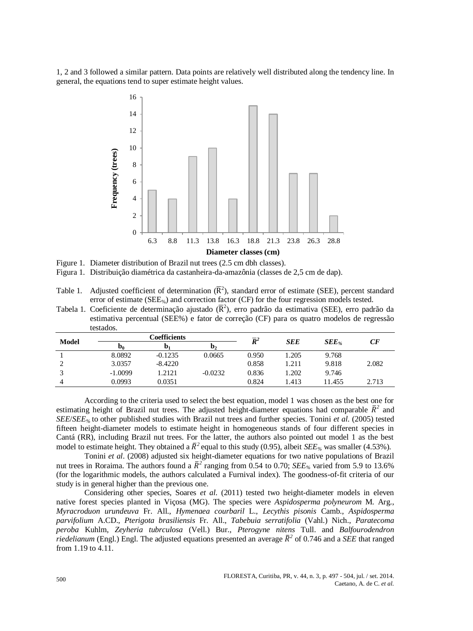1, 2 and 3 followed a similar pattern. Data points are relatively well distributed along the tendency line. In general, the equations tend to super estimate height values.



Figure 1. Diameter distribution of Brazil nut trees (2.5 cm dbh classes).

Figura 1. Distribuição diamétrica da castanheira-da-amazônia (classes de 2,5 cm de dap).

Tabela 1. Coeficiente de determinação ajustado ( $\bar{R}^2$ ), erro padrão da estimativa (SEE), erro padrão da estimativa percentual (SEE%) e fator de correção (CF) para os quatro modelos de regressão testados.

| Model | <b>Coefficients</b> |           |              | $\overline{R}^2$ | <b>SEE</b> |                      | CF    |
|-------|---------------------|-----------|--------------|------------------|------------|----------------------|-------|
|       | D <sub>0</sub>      | D.        | $\mathbf{D}$ |                  |            | $\boldsymbol{SEE}$ % |       |
|       | 8.0892              | $-0.1235$ | 0.0665       | 0.950            | 1.205      | 9.768                |       |
|       | 3.0357              | $-8.4220$ |              | 0.858            | 1.211      | 9.818                | 2.082 |
|       | $-1.0099$           | 1.2121    | $-0.0232$    | 0.836            | 1.202      | 9.746                |       |
|       | 0.0993              | 0.0351    |              | 0.824            | 1.413      | 11.455               | 2.713 |

According to the criteria used to select the best equation, model 1 was chosen as the best one for estimating height of Brazil nut trees. The adjusted height-diameter equations had comparable  $\bar{R}^2$  and *SEE*/*SEE%* to other published studies with Brazil nut trees and further species. Tonini *et al*. (2005) tested fifteen height-diameter models to estimate height in homogeneous stands of four different species in Cantá (RR), including Brazil nut trees. For the latter, the authors also pointed out model 1 as the best model to estimate height. They obtained a  $\bar{R}^2$  equal to this study (0.95), albeit *SEE*<sub>%</sub> was smaller (4.53%).

Tonini *et al*. (2008) adjusted six height-diameter equations for two native populations of Brazil nut trees in Roraima. The authors found a  $\bar{R}^2$  ranging from 0.54 to 0.70; *SEE<sub>%</sub>* varied from 5.9 to 13.6% (for the logarithmic models, the authors calculated a Furnival index). The goodness-of-fit criteria of our study is in general higher than the previous one.

Considering other species, Soares *et al*. (2011) tested two height-diameter models in eleven native forest species planted in Viçosa (MG). The species were *Aspidosperma polyneurom* M. Arg., *Myracroduon urundeuva* Fr. All., *Hymenaea courbaril* L., *Lecythis pisonis* Camb., *Aspidosperma parvifolium* A.CD., *Pterigota brasiliensis* Fr. All., *Tabebuia serratifolia* (Vahl.) Nich., *Paratecoma peroba* Kuhlm, *Zeyheria tubrculosa* (Vell.) Bur., *Pterogyne nitens* Tull. and *Balfourodendron riedelianum* (Engl.) Engl. The adjusted equations presented an average  $\bar{R}^2$  of 0.746 and a *SEE* that ranged from 1.19 to 4.11.

Table 1. Adjusted coefficient of determination  $(\overline{R}^2)$ , standard error of estimate (SEE), percent standard error of estimate (SEE<sub>%</sub>) and correction factor (CF) for the four regression models tested.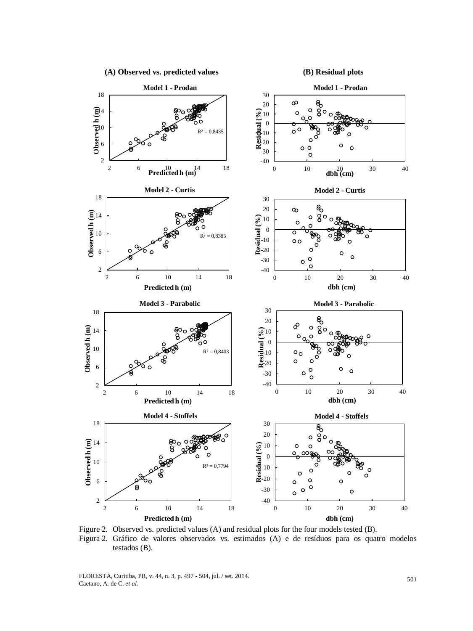

Figure 2. Observed vs. predicted values (A) and residual plots for the four models tested (B). Figura 2. Gráfico de valores observados vs. estimados (A) e de resíduos para os quatro modelos testados (B).

FLORESTA, Curitiba, PR, v. 44, n. 3, p. 497 - 504, jul. / set. 2014. FLORESTA, Curitiba, PR, v. 44, n. 3, p. 497 - 504, jul. / set. 2014.<br>Caetano, A. de C. *et al.* 501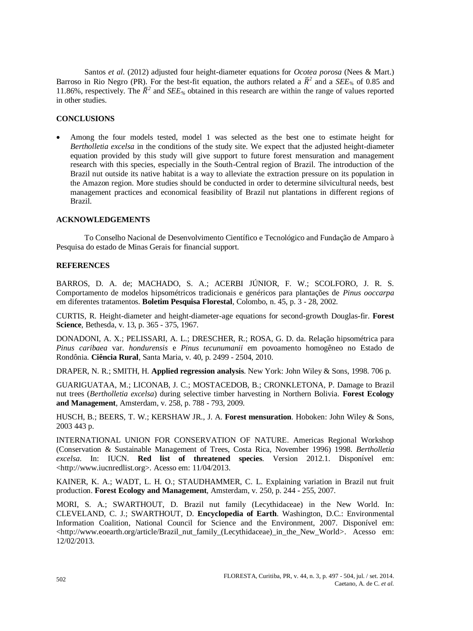Santos *et al*. (2012) adjusted four height-diameter equations for *Ocotea porosa* (Nees & Mart.) Barroso in Rio Negro (PR). For the best-fit equation, the authors related a  $\bar{R}^2$  and a *SEE<sub>%</sub>* of 0.85 and 11.86%, respectively. The  $\bar{R}^2$  and *SEE<sub>%</sub>* obtained in this research are within the range of values reported in other studies.

# **CONCLUSIONS**

 Among the four models tested, model 1 was selected as the best one to estimate height for *Bertholletia excelsa* in the conditions of the study site. We expect that the adjusted height-diameter equation provided by this study will give support to future forest mensuration and management research with this species, especially in the South-Central region of Brazil. The introduction of the Brazil nut outside its native habitat is a way to alleviate the extraction pressure on its population in the Amazon region. More studies should be conducted in order to determine silvicultural needs, best management practices and economical feasibility of Brazil nut plantations in different regions of Brazil.

# **ACKNOWLEDGEMENTS**

To Conselho Nacional de Desenvolvimento Científico e Tecnológico and Fundação de Amparo à Pesquisa do estado de Minas Gerais for financial support.

## **REFERENCES**

[BARROS, D. A. de; MACHADO, S. A.; ACERBI](http://www.cnpf.embrapa.br/publica/boletim/boletarqv/bolet45/pag3-28.pdf) JÚNIOR, F. W.; SCOLFORO, J. R. S. Comportamento de modelos hipsométricos tradicionais e genéricos para plantações de *Pinus ooccarpa* em diferentes tratamentos. **Boletim Pesquisa Florestal**, Colombo, n. 45, p. 3 - 28, 2002.

CURTIS, R. Height-diameter and height-diameter-age equations for second-growth Douglas-fir. **Forest Science**, Bethesda, v. 13, p. 365 - 375, 1967.

DONADONI, A. X.; PELISSARI, A. L.; DRESCHER, R.; ROSA, G. D. da. Relação hipsométrica para *Pinus caribaea* var. *hondurensis* e *Pinus tecunumanii* em povoamento homogêneo no Estado de Rondônia. **Ciência Rural**, Santa Maria, v. 40, p. 2499 - 2504, 2010.

DRAPER, N. R.; SMITH, H. **Applied regression analysis**. New York: John Wiley & Sons, 1998. 706 p.

[GUARIGUATAA,](http://www.sciencedirect.com/science/article/pii/S0378112709003673) M.; [LICONAB,](http://www.sciencedirect.com/science/article/pii/S0378112709003673) J. C.; [MOSTACEDOB,](http://www.sciencedirect.com/science/article/pii/S0378112709003673) B.; [CRONKLETONA,](http://www.sciencedirect.com/science/article/pii/S0378112709003673) P. Damage to Brazil nut trees (*Bertholletia excelsa*) during selective timber harvesting in Northern Bolivia. **Forest Ecology and Management**, Amsterdam, v. 258, p. 788 - 793, 2009.

HUSCH, B.; BEERS, T. W.; KERSHAW JR., J. A. **Forest mensuration**. Hoboken: John Wiley & Sons, 2003 443 p.

INTERNATIONAL UNION FOR CONSERVATION OF NATURE. Americas Regional Workshop (Conservation & Sustainable Management of Trees, Costa Rica, November 1996) 1998. *Bertholletia excelsa*. In: IUCN. **Red list of threatened species**. Version 2012.1. Disponível em: <http:/[/www.iucnredlist.org>](http://www.iucnredlist.org/). Acesso em: 11/04/2013.

KAINER, K. A.; WADT, L. H. O.; STAUDHAMMER, C. L. Explaining variation in Brazil nut fruit production. **Forest Ecology and Management**, Amsterdam, v. 250, p. 244 - 255, 2007.

MORI, S. A.; SWARTHOUT, D. Brazil nut family (Lecythidaceae) in the New World. In: CLEVELAND, C. J.; SWARTHOUT, D. **Encyclopedia of Earth**. Washington, D.C.: Environmental Information Coalition, National Council for Science and the Environment, 2007. Disponível em: <http://www.eoearth.org/article/Brazil\_nut\_family\_(Lecythidaceae)\_in\_the\_New\_World>. Acesso em: 12/02/2013.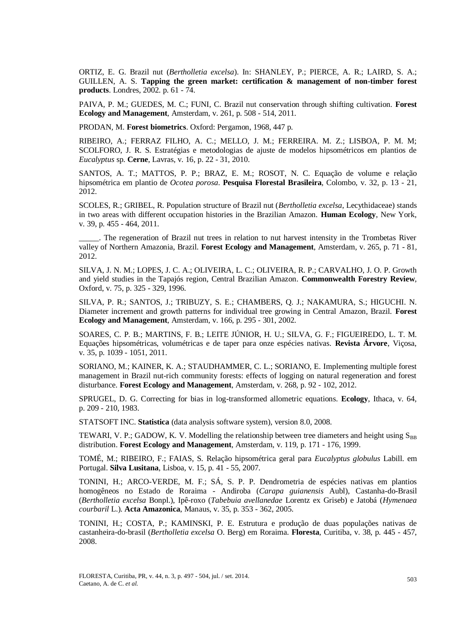ORTIZ, E. G. Brazil nut (*Bertholletia excelsa*). In: SHANLEY, P.; PIERCE, A. R.; LAIRD, S. A.; GUILLEN, A. S. **Tapping the green market: certification & management of non-timber forest products**. Londres, 2002. p. 61 - 74.

PAIVA, P. M.; GUEDES, M. C.; FUNI, C. Brazil nut conservation through shifting cultivation. **Forest Ecology and Management**, Amsterdam, v. 261, p. 508 - 514, 2011.

PRODAN, M. **Forest biometrics**. Oxford: Pergamon, 1968, 447 p.

RIBEIRO, A.; FERRAZ FILHO, A. C.; MELLO, J. M.; FERREIRA. M. Z.; LISBOA, P. M. M; SCOLFORO, J. R. S. Estratégias e metodologias de ajuste de modelos hipsométricos em plantios de *Eucalyptus* sp. **Cerne**, Lavras, v. 16, p. 22 - 31, 2010.

SANTOS, A. T.; MATTOS, P. P.; BRAZ, E. M.; ROSOT, N. C. Equação de volume e relação hipsométrica em plantio de *Ocotea porosa*. **Pesquisa Florestal Brasileira**, Colombo, v. 32, p. 13 - 21, 2012.

SCOLES, R.; GRIBEL, R. Population structure of Brazil nut (*Bertholletia excelsa*, Lecythidaceae) stands in two areas with different occupation histories in the Brazilian Amazon. **Human Ecology**, New York, v. 39, p. 455 - 464, 2011.

\_\_\_\_\_. The regeneration of Brazil nut trees in relation to nut harvest intensity in the Trombetas River valley of Northern Amazonia, Brazil. **Forest Ecology and Management**, Amsterdam, v. 265, p. 71 - 81, 2012.

SILVA, J. N. M.; LOPES, J. C. A.; OLIVEIRA, L. C.; OLIVEIRA, R. P.; CARVALHO, J. O. P. Growth and yield studies in the Tapajós region, Central Brazilian Amazon. **Commonwealth Forestry Review**, Oxford, v. 75, p. 325 - 329, 1996.

[SILVA,](http://www.sciencedirect.com/science/article/pii/S0378112701006788) P. R.; [SANTOS,](http://www.sciencedirect.com/science/article/pii/S0378112701006788) J.; [TRIBUZY,](http://www.sciencedirect.com/science/article/pii/S0378112701006788) S. E.; [CHAMBERS,](http://www.sciencedirect.com/science/article/pii/S0378112701006788) Q. J.; [NAKAMURA,](http://www.sciencedirect.com/science/article/pii/S0378112701006788) S.; [HIGUCHI.](http://www.sciencedirect.com/science/article/pii/S0378112701006788) N. Diameter increment and growth patterns for individual tree growing in Central Amazon, Brazil. **Forest Ecology and Management**, Amsterdam, v. 166, p. 295 - 301, 2002.

SOARES, C. P. B.; MARTINS, F. B.; LEITE JÚNIOR, H. U.; SILVA, G. F.; FIGUEIREDO, L. T. M. Equações hipsométricas, volumétricas e de taper para onze espécies nativas. **Revista Árvore**, Viçosa, v. 35, p. 1039 - 1051, 2011.

SORIANO, M.; KAINER, K. A.; STAUDHAMMER, C. L.; SORIANO, E. Implementing multiple forest management in Brazil nut-rich community forests: effects of logging on natural regeneration and forest disturbance. **Forest Ecology and Management**, Amsterdam, v. 268, p. 92 - 102, 2012.

SPRUGEL, D. G. Correcting for bias in log-transformed allometric equations. **Ecology**, Ithaca, v. 64, p. 209 - 210, 1983.

STATSOFT INC. **Statistica** (data analysis software system), version 8.0, 2008.

TEWARI, V. P.; GADOW, K. V. Modelling the relationship between tree diameters and height using  $S_{BR}$ distribution. **Forest Ecology and Management**, Amsterdam, v. 119, p. 171 - 176, 1999.

TOMÉ, M.; RIBEIRO, F.; FAIAS, S. Relação hipsométrica geral para *Eucalyptus globulus* Labill. em Portugal. **Silva Lusitana**, Lisboa, v. 15, p. 41 - 55, 2007.

TONINI, H.; ARCO-VERDE, M. F.; SÁ, S. P. P. Dendrometria de espécies nativas em plantios homogêneos no Estado de Roraima - Andiroba (*Carapa guianensis* Aubl), Castanha-do-Brasil (*Bertholletia excelsa* Bonpl.), Ipê-roxo (*Tabebuia avellanedae* Lorentz ex Griseb) e Jatobá (*Hymenaea courbaril* L.). **Acta Amazonica**, Manaus, v. 35, p. 353 - 362, 2005.

TONINI, H.; COSTA, P.; KAMINSKI, P. E. Estrutura e produção de duas populações nativas de castanheira-do-brasil (*Bertholletia excelsa* O. Berg) em Roraima. **Floresta**, Curitiba, v. 38, p. 445 - 457, 2008.